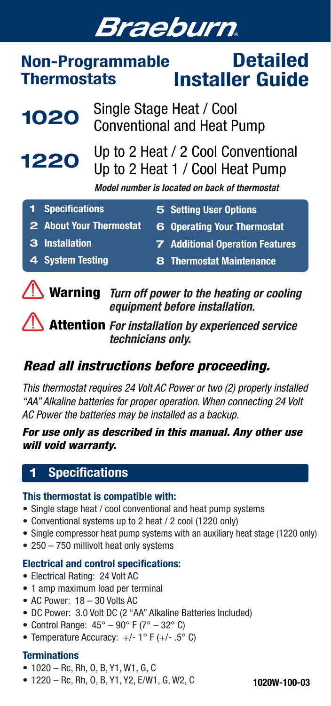# **Braeburn**

#### Non-Programmable **Thermostats Detailed** Installer Guide



## *Read all instructions before proceeding.*

*This thermostat requires 24 Volt AC Power or two (2) properly installed "AA" Alkaline batteries for proper operation. When connecting 24 Volt AC Power the batteries may be installed as a backup.* 

## *For use only as described in this manual. Any other use will void warranty.*

## 1 Specifications

#### This thermostat is compatible with:

- Single stage heat / cool conventional and heat pump systems
- • Conventional systems up to 2 heat / 2 cool (1220 only)
- Single compressor heat pump systems with an auxiliary heat stage (1220 only)
- 250 750 millivolt heat only systems

## Electrical and control specifications:

- • Electrical Rating: 24 Volt AC
- 1 amp maximum load per terminal
- • AC Power: 18 30 Volts AC
- DC Power: 3.0 Volt DC (2 "AA" Alkaline Batteries Included)
- Control Range:  $45^{\circ} 90^{\circ}$  F ( $7^{\circ} 32^{\circ}$  C)
- Temperature Accuracy:  $+/- 1$ ° F ( $+/- .5$ °C)

## **Terminations**

- $\bullet$  1020 Rc, Rh, O, B, Y1, W1, G, C
- • 1220 Rc, Rh, O, B, Y1, Y2, E/W1, G, W2, C

1020W-100-03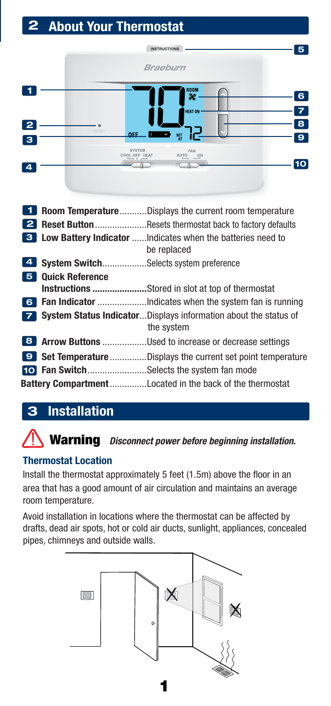# 2 About Your Thermostat

|                         |       | <b>INSTRUCTIONS</b>  |                                               | 5                            |
|-------------------------|-------|----------------------|-----------------------------------------------|------------------------------|
|                         |       | Braeburn             |                                               |                              |
|                         |       |                      | $\frac{1}{\sqrt[3]{6}}$                       | 6                            |
| $\overline{\mathbf{2}}$ | RESET |                      | HEAT ON                                       | $\overline{\mathbf{z}}$<br>8 |
| $\overline{\mathbf{3}}$ |       | <b>OFF</b><br>SYSTEM | $rac{\mathsf{SET}}{\mathsf{AT}}$<br>ίG<br>FAN | $\overline{9}$               |
| 4                       |       | COOL OFF HEAT        | AUTO<br>$\overset{\text{ON}}{=}$              | 10                           |
|                         |       |                      |                                               |                              |

| -1 |                                                | <b>Room TemperatureDisplays the current room temperature</b>                                  |
|----|------------------------------------------------|-----------------------------------------------------------------------------------------------|
|    |                                                | <b>2 Reset Button</b> Resets thermostat back to factory defaults                              |
|    |                                                | <b>3</b> Low Battery Indicator  Indicates when the batteries need to<br>be replaced           |
| 4  | <b>System Switch</b> Selects system preference |                                                                                               |
| 5. | <b>Quick Reference</b>                         |                                                                                               |
|    |                                                | <b>Instructions</b> Stored in slot at top of thermostat                                       |
|    |                                                |                                                                                               |
|    |                                                | <b>Example:</b> System Status IndicatorDisplays information about the status of<br>the system |
|    |                                                | 8 Arrow Buttons Used to increase or decrease settings                                         |
|    |                                                | <b>9</b> Set Temperature Displays the current set point temperature                           |
|    |                                                | <b>10</b> Fan SwitchSelects the system fan mode                                               |
|    |                                                | <b>Battery Compartment</b> Located in the back of the thermostat                              |

# 3 Installation

# Warning *Disconnect power before beginning installation.*

## Thermostat Location

Install the thermostat approximately 5 feet (1.5m) above the floor in an area that has a good amount of air circulation and maintains an average room temperature.

Avoid installation in locations where the thermostat can be affected by drafts, dead air spots, hot or cold air ducts, sunlight, appliances, concealed pipes, chimneys and outside walls.

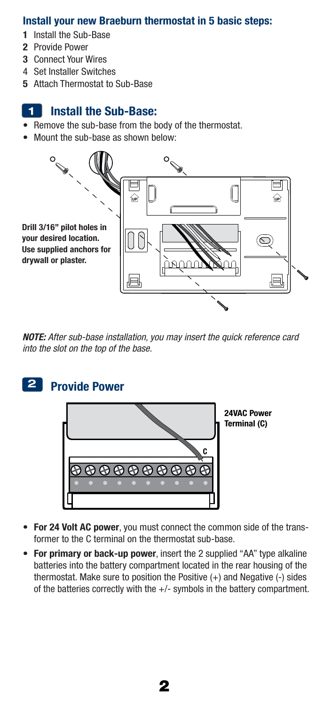#### Install your new Braeburn thermostat in 5 basic steps:

- 1 Install the Sub-Base
- 2 Provide Power
- 3 Connect Your Wires
- 4 Set Installer Switches
- 5 Attach Thermostat to Sub-Base

#### Install the Sub-Base: 1

- Remove the sub-base from the body of the thermostat.
- Mount the sub-base as shown below:



*NOTE: After sub-base installation, you may insert the quick reference card into the slot on the top of the base.*

#### Provide Power 2



24VAC Power Terminal (C)

- For 24 Volt AC power, you must connect the common side of the trans- former to the C terminal on the thermostat sub-base.
- For primary or back-up power, insert the 2 supplied "AA" type alkaline batteries into the battery compartment located in the rear housing of the thermostat. Make sure to position the Positive  $(+)$  and Negative  $(-)$  sides of the batteries correctly with the +/- symbols in the battery compartment.

2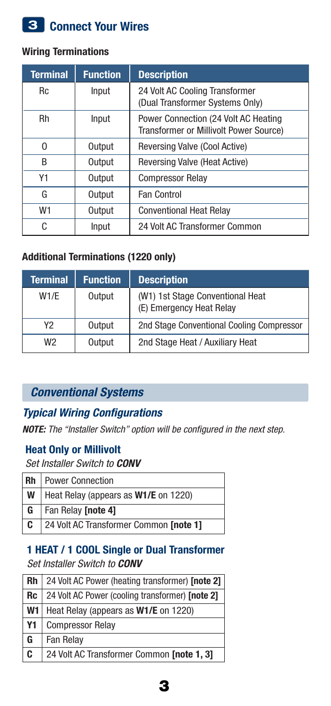# 3 Connect Your Wires

## Wiring Terminations

| <b>Terminal</b> | <b>Function</b> | <b>Description</b>                                                             |  |
|-----------------|-----------------|--------------------------------------------------------------------------------|--|
| <b>Rc</b>       | Input           | 24 Volt AC Cooling Transformer<br>(Dual Transformer Systems Only)              |  |
| <b>Rh</b>       | Input           | Power Connection (24 Volt AC Heating<br>Transformer or Millivolt Power Source) |  |
| U               | Output          | Reversing Valve (Cool Active)                                                  |  |
| B               | Output          | Reversing Valve (Heat Active)                                                  |  |
| Y1              | Output          | <b>Compressor Relay</b>                                                        |  |
| G               | Output          | Fan Control                                                                    |  |
| W1              | Output          | <b>Conventional Heat Relay</b>                                                 |  |
| C               | Input           | 24 Volt AC Transformer Common                                                  |  |

## Additional Terminations (1220 only)

| <b>Terminal</b> | <b>Function</b> | <b>Description</b>                                           |
|-----------------|-----------------|--------------------------------------------------------------|
| W1/E            | Output          | (W1) 1st Stage Conventional Heat<br>(E) Emergency Heat Relay |
| Y2              | Output          | 2nd Stage Conventional Cooling Compressor                    |
| W <sub>2</sub>  | Output          | 2nd Stage Heat / Auxiliary Heat                              |

## *Conventional Systems*

## *Typical Wiring Configurations*

*NOTE: The "Installer Switch" option will be configured in the next step.*

## Heat Only or Millivolt

*Set Installer Switch to CONV*

|   | <b>Rh</b>   Power Connection                    |
|---|-------------------------------------------------|
| W | Heat Relay (appears as W1/E on 1220)            |
|   | <b>G</b>   Fan Relay <b>[note 4]</b>            |
|   | <b>C</b> 24 Volt AC Transformer Common [note 1] |

#### 1 HEAT / 1 COOL Single or Dual Transformer *Set Installer Switch to CONV*

| Rh                      | 24 Volt AC Power (heating transformer) [note 2] |
|-------------------------|-------------------------------------------------|
| <b>Rc</b>               | 24 Volt AC Power (cooling transformer) [note 2] |
| W <sub>1</sub>          | Heat Relay (appears as W1/E on 1220)            |
| <b>Y1</b>               | <b>Compressor Relay</b>                         |
| G                       | Fan Relay                                       |
| $\overline{\mathbf{c}}$ | 24 Volt AC Transformer Common [note 1, 3]       |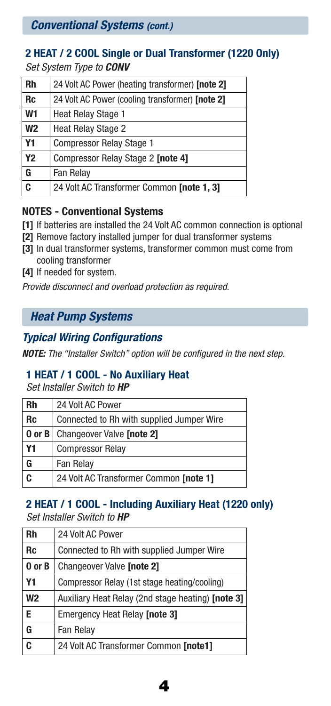*Conventional Systems (cont.)*

## 2 HEAT / 2 COOL Single or Dual Transformer (1220 Only) *Set System Type to CONV*

| Rh             | 24 Volt AC Power (heating transformer) [note 2] |
|----------------|-------------------------------------------------|
| Rc             | 24 Volt AC Power (cooling transformer) [note 2] |
| W1             | Heat Relay Stage 1                              |
| W <sub>2</sub> | <b>Heat Relay Stage 2</b>                       |
| Υ1             | <b>Compressor Relay Stage 1</b>                 |
| Υ2             | Compressor Relay Stage 2 [note 4]               |
| G              | Fan Relay                                       |
| c              | 24 Volt AC Transformer Common [note 1, 3]       |
|                |                                                 |

## NOTES - Conventional Systems

- [1] If batteries are installed the 24 Volt AC common connection is optional
- [2] Remove factory installed jumper for dual transformer systems
- [3] In dual transformer systems, transformer common must come from cooling transformer
- [4] If needed for system.

*Provide disconnect and overload protection as required.*

## *Heat Pump Systems*

## *Typical Wiring Configurations*

*NOTE: The "Installer Switch" option will be configured in the next step.*

## 1 HEAT / 1 COOL - No Auxiliary Heat

*Set Installer Switch to HP*

| Rh        | 24 Volt AC Power                          |  |  |
|-----------|-------------------------------------------|--|--|
| Rc        | Connected to Rh with supplied Jumper Wire |  |  |
| 0 or B    | Changeover Valve [note 2]                 |  |  |
| <b>Y1</b> | <b>Compressor Relay</b>                   |  |  |
| G         | Fan Relay                                 |  |  |
| Ć         | 24 Volt AC Transformer Common [note 1]    |  |  |

## 2 HEAT / 1 COOL - Including Auxiliary Heat (1220 only) *Set Installer Switch to HP*

| Rh             | 24 Volt AC Power                                  |
|----------------|---------------------------------------------------|
| Rc             | Connected to Rh with supplied Jumper Wire         |
| 0 or B         | Changeover Valve [note 2]                         |
| Υ1             | Compressor Relay (1st stage heating/cooling)      |
| W <sub>2</sub> | Auxiliary Heat Relay (2nd stage heating) [note 3] |
| Е              | Emergency Heat Relay [note 3]                     |
| G              | Fan Relay                                         |
| C              | 24 Volt AC Transformer Common [note1]             |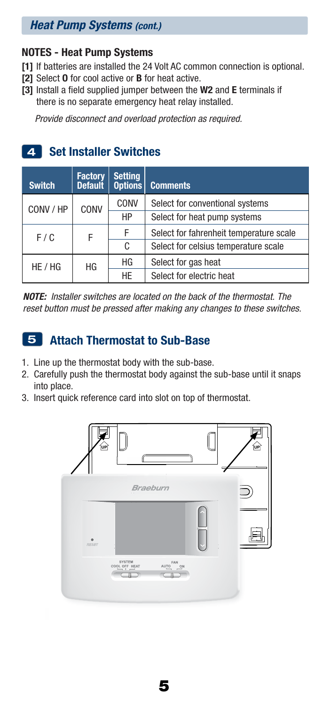## *Heat Pump Systems (cont.)*

## NOTES - Heat Pump Systems

- [1] If batteries are installed the 24 Volt AC common connection is optional.
- [2] Select **O** for cool active or **B** for heat active.
- [3] Install a field supplied jumper between the W2 and E terminals if there is no separate emergency heat relay installed.

*Provide disconnect and overload protection as required.*

# 4 Set Installer Switches

| <b>Switch</b> | <b>Factory</b><br><b>Default</b> | <b>Setting</b><br><b>Options</b> | <b>Comments</b>                         |
|---------------|----------------------------------|----------------------------------|-----------------------------------------|
| CONV / HP     | CONV                             | CONV                             | Select for conventional systems         |
|               |                                  | HP                               | Select for heat pump systems            |
| F / C         | F                                | F                                | Select for fahrenheit temperature scale |
|               |                                  | C                                | Select for celsius temperature scale    |
| HE / HG       | HG                               | ΗG                               | Select for gas heat                     |
|               |                                  | <b>HE</b>                        | Select for electric heat                |

*NOTE: Installer switches are located on the back of the thermostat. The reset button must be pressed after making any changes to these switches.*

# 5 Attach Thermostat to Sub-Base

- 1. Line up the thermostat body with the sub-base.
- 2. Carefully push the thermostat body against the sub-base until it snaps into place.
- 3. Insert quick reference card into slot on top of thermostat.

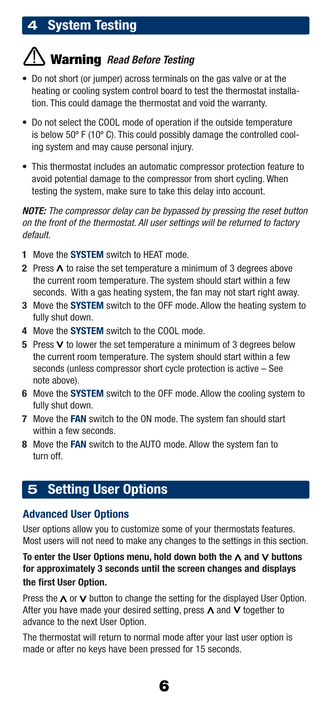## 4 System Testing

# Warning *Read Before Testing*

- Do not short (or jumper) across terminals on the gas valve or at the heating or cooling system control board to test the thermostat installa- tion. This could damage the thermostat and void the warranty.
- Do not select the COOL mode of operation if the outside temperature is below 50º F (10º C). This could possibly damage the controlled cool- ing system and may cause personal injury.
- This thermostat includes an automatic compressor protection feature to avoid potential damage to the compressor from short cycling. When testing the system, make sure to take this delay into account.

*NOTE: The compressor delay can be bypassed by pressing the reset button on the front of the thermostat. All user settings will be returned to factory default.*

- 1 Move the **SYSTEM** switch to HEAT mode.
- 2 Press  $\Lambda$  to raise the set temperature a minimum of 3 degrees above the current room temperature. The system should start within a few seconds. With a gas heating system, the fan may not start right away.
- **3** Move the **SYSTEM** switch to the OFF mode. Allow the heating system to fully shut down.
- 4 Move the **SYSTEM** switch to the COOL mode.
- **5** Press  $\vee$  to lower the set temperature a minimum of 3 degrees below the current room temperature. The system should start within a few seconds (unless compressor short cycle protection is active – See note above).
- 6 Move the SYSTEM switch to the OFF mode. Allow the cooling system to fully shut down.
- 7 Move the FAN switch to the ON mode. The system fan should start within a few seconds.
- 8 Move the FAN switch to the AUTO mode. Allow the system fan to turn off.

## 5 Setting User Options

## Advanced User Options

User options allow you to customize some of your thermostats features. Most users will not need to make any changes to the settings in this section.

To enter the User Options menu, hold down both the  $\Lambda$  and  $V$  buttons for approximately 3 seconds until the screen changes and displays the first User Option.

Press the  $\wedge$  or  $\vee$  button to change the setting for the displayed User Option. After you have made your desired setting, press  $\Lambda$  and  $\vee$  together to advance to the next User Option.

The thermostat will return to normal mode after your last user option is made or after no keys have been pressed for 15 seconds.

6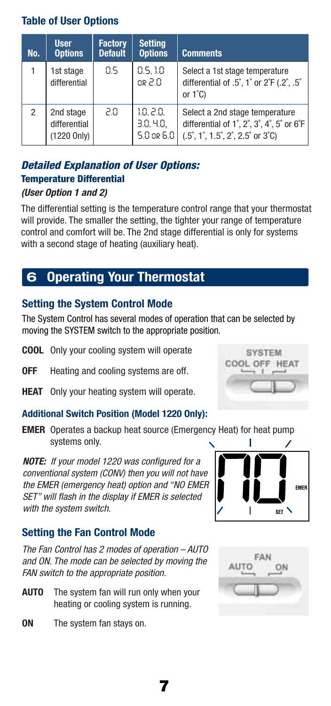## Table of User Options

| No. | <b>User</b><br><b>Options</b>            | <b>Factory</b><br><b>Default</b> | <b>Setting</b><br><b>Options</b>        | <b>Comments</b>                                                                                                                                           |
|-----|------------------------------------------|----------------------------------|-----------------------------------------|-----------------------------------------------------------------------------------------------------------------------------------------------------------|
|     | 1st stage<br>differential                | 85                               | 0.5.10<br>$0.5$ ap                      | Select a 1st stage temperature<br>differential of $.5^{\circ}$ , 1° or $2^{\circ}$ F (.2°, .5°<br>or $1^{\circ}$ C)                                       |
| 2   | 2nd stage<br>differential<br>(1220 Only) | 20.                              | 1.0.2.0.<br>3.0, 4.0,<br>$5.0$ or $6.0$ | Select a 2nd stage temperature<br>differential of 1°, 2°, 3°, 4°, 5° or 6°F<br>$(.5\degree, 1\degree, 1.5\degree, 2\degree, 2.5\degree$ or 3 $\degree$ C) |

## *Detailed Explanation of User Options:*  Temperature Differential

#### *(User Option 1 and 2)*

The differential setting is the temperature control range that your thermostat will provide. The smaller the setting, the tighter your range of temperature control and comfort will be. The 2nd stage differential is only for systems with a second stage of heating (auxiliary heat).

## 6 Operating Your Thermostat

## Setting the System Control Mode

The System Control has several modes of operation that can be selected by moving the SYSTEM switch to the appropriate position.

- **COOL** Only your cooling system will operate
- **OFF** Heating and cooling systems are off.
- **HEAT** Only your heating system will operate.

#### Additional Switch Position (Model 1220 Only):

**EMER** Operates a backup heat source (Emergency Heat) for heat pump systems only.

*NOTE: If your model 1220 was configured for a conventional system (CONV) then you will not have the EMER (emergency heat) option and "NO EMER SET" will flash in the display if EMER is selected with the system switch.*

## Setting the Fan Control Mode

*The Fan Control has 2 modes of operation – AUTO and ON. The mode can be selected by moving the FAN switch to the appropriate position.*

- **AUTO** The system fan will run only when your heating or cooling system is running.
- ON The system fan stays on.







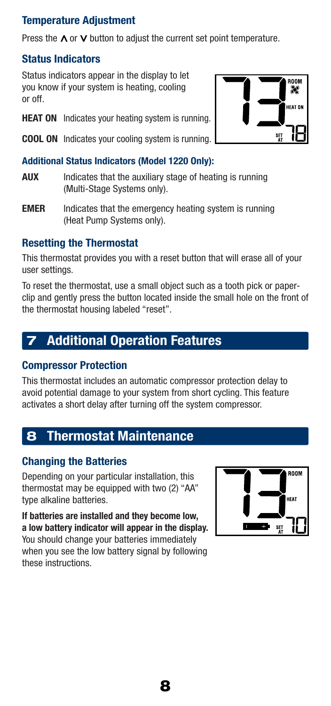## Temperature Adjustment

Press the  $\wedge$  or  $\vee$  button to adjust the current set point temperature.

### Status Indicators

Status indicators appear in the display to let you know if your system is heating, cooling or off.

- **HEAT ON** Indicates your heating system is running.
- COOL ON Indicates your cooling system is running.

#### Additional Status Indicators (Model 1220 Only):

- AUX Indicates that the auxiliary stage of heating is running (Multi-Stage Systems only).
- **EMER** Indicates that the emergency heating system is running (Heat Pump Systems only).

## Resetting the Thermostat

This thermostat provides you with a reset button that will erase all of your user settings.

To reset the thermostat, use a small object such as a tooth pick or paperclip and gently press the button located inside the small hole on the front of the thermostat housing labeled "reset".

## **Additional Operation Features**

#### Compressor Protection

This thermostat includes an automatic compressor protection delay to avoid potential damage to your system from short cycling. This feature activates a short delay after turning off the system compressor.

## 8 Thermostat Maintenance

#### Changing the Batteries

Depending on your particular installation, this thermostat may be equipped with two (2) "AA" type alkaline batteries.

If batteries are installed and they become low, a low battery indicator will appear in the display. You should change your batteries immediately when you see the low battery signal by following these instructions.